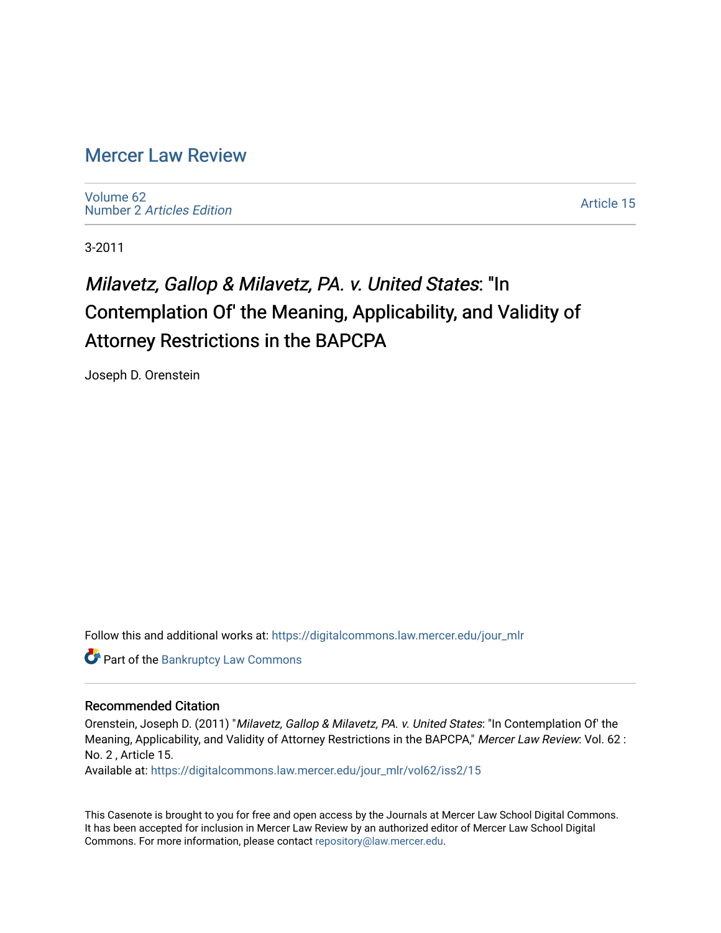## [Mercer Law Review](https://digitalcommons.law.mercer.edu/jour_mlr)

[Volume 62](https://digitalcommons.law.mercer.edu/jour_mlr/vol62) Number 2 [Articles Edition](https://digitalcommons.law.mercer.edu/jour_mlr/vol62/iss2) 

[Article 15](https://digitalcommons.law.mercer.edu/jour_mlr/vol62/iss2/15) 

3-2011

# Milavetz, Gallop & Milavetz, PA. v. United States: "In Contemplation Of' the Meaning, Applicability, and Validity of Attorney Restrictions in the BAPCPA

Joseph D. Orenstein

Follow this and additional works at: [https://digitalcommons.law.mercer.edu/jour\\_mlr](https://digitalcommons.law.mercer.edu/jour_mlr?utm_source=digitalcommons.law.mercer.edu%2Fjour_mlr%2Fvol62%2Fiss2%2F15&utm_medium=PDF&utm_campaign=PDFCoverPages)

**Part of the Bankruptcy Law Commons** 

#### Recommended Citation

Orenstein, Joseph D. (2011) "Milavetz, Gallop & Milavetz, PA. v. United States: "In Contemplation Of' the Meaning, Applicability, and Validity of Attorney Restrictions in the BAPCPA," Mercer Law Review: Vol. 62 : No. 2 , Article 15.

Available at: [https://digitalcommons.law.mercer.edu/jour\\_mlr/vol62/iss2/15](https://digitalcommons.law.mercer.edu/jour_mlr/vol62/iss2/15?utm_source=digitalcommons.law.mercer.edu%2Fjour_mlr%2Fvol62%2Fiss2%2F15&utm_medium=PDF&utm_campaign=PDFCoverPages) 

This Casenote is brought to you for free and open access by the Journals at Mercer Law School Digital Commons. It has been accepted for inclusion in Mercer Law Review by an authorized editor of Mercer Law School Digital Commons. For more information, please contact [repository@law.mercer.edu.](mailto:repository@law.mercer.edu)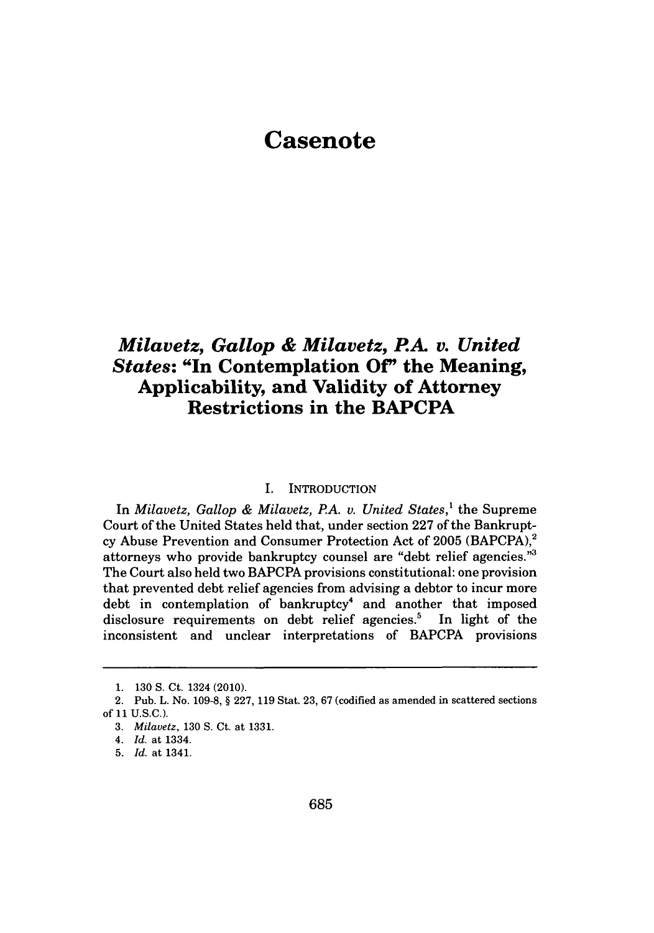# **Casenote**

### *Milavetz, Gallop & Milavetz, PA. v. United States:* **"In Contemplation Of' the Meaning, Applicability, and Validity of Attorney Restrictions in the BAPCPA**

#### I. INTRODUCTION

In *Milavetz, Gallop & Milavetz, PA. v. United States,'* the Supreme Court of the United States held that, under section **227** of the Bankruptcy Abuse Prevention and Consumer Protection Act of **2005** (BAPCPA),2 attorneys who provide bankruptcy counsel are "debt relief agencies."<sup>3</sup> The Court also held two BAPCPA provisions constitutional: one provision that prevented debt relief agencies from advising a debtor to incur more debt in contemplation of bankruptcy<sup>4</sup> and another that imposed disclosure requirements on debt relief agencies.' In light of the inconsistent and unclear interpretations of BAPCPA provisions

**<sup>1. 130</sup> S.** Ct. 1324 (2010).

<sup>2.</sup> Pub. L. No. **109-8,** *§* **227, 119** Stat. **23, 67** (codified as amended in scattered sections **of 11 U.S.C.).**

*<sup>3.</sup> Milavetz,* **130 S.** Ct. at **1331.**

*<sup>4.</sup> Id.* at 1334.

**<sup>5.</sup>** *Id.* at 1341.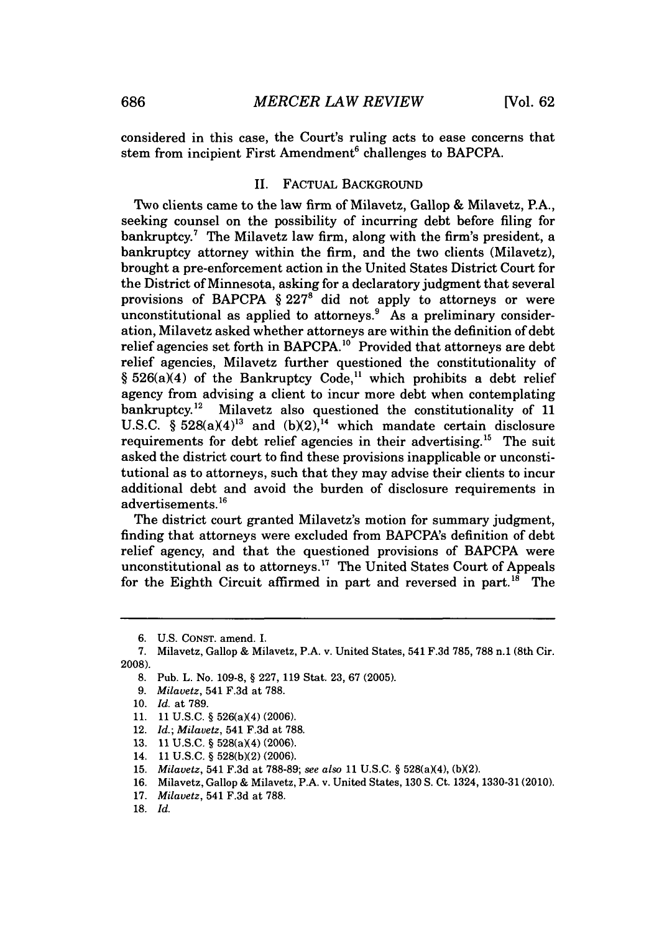considered in this case, the Court's ruling acts to ease concerns that stem from incipient First Amendment<sup>6</sup> challenges to BAPCPA.

#### II. FACTUAL **BACKGROUND**

Two clients came to the law firm of Milavetz, Gallop **&** Milavetz, P.A., seeking counsel on the possibility of incurring debt before filing for bankruptcy.<sup>7</sup> The Milavetz law firm, along with the firm's president, a bankruptcy attorney within the firm, and the two clients (Milavetz), brought a pre-enforcement action in the United States District Court for the District of Minnesota, asking for a declaratory judgment that several provisions of BAPCPA *§* **227'** did not apply to attorneys or were unconstitutional as applied to attorneys.' As a preliminary consideration, Milavetz asked whether attorneys are within the definition of debt relief agencies set forth in BAPCPA.<sup>10</sup> Provided that attorneys are debt relief agencies, Milavetz further questioned the constitutionality of § 526(a)(4) of the Bankruptcy Code,<sup>11</sup> which prohibits a debt relief agency from advising a client to incur more debt when contemplating bankruptcy.12 Milavetz also questioned the constitutionality of **11** U.S.C.  $\hat{\S}$  528(a)(4)<sup>13</sup> and  $(b)(2)$ , <sup>14</sup> which mandate certain disclosure requirements for debt relief agencies in their advertising.<sup>15</sup> The suit asked the district court to find these provisions inapplicable or unconstitutional as to attorneys, such that they may advise their clients to incur additional debt and avoid the burden of disclosure requirements in advertisements.<sup>16</sup>

The district court granted Milavetz's motion for summary judgment, finding that attorneys were excluded from BAPCPA's definition of debt relief agency, and that the questioned provisions of **BAPCPA** were unconstitutional as to attorneys.<sup>17</sup> The United States Court of Appeals for the Eighth Circuit affirmed in part and reversed in part.<sup>18</sup> The

- **11. 11 U.S.C. §** 526(a)(4) **(2006).**
- 12. *Id.; Milavetz,* 541 **F.3d** at **788.**
- **13. 11 U.S.C. §** 528(aX4) **(2006).**
- 14. **11 U.S.C. § 528(b)(2) (2006).**
- **15.** *Milavetz,* 541 **F.3d** at **788-89;** *see also* **11 U.S.C. §** 528(aX4), **(bX2).**
- **16.** Milavetz, Gallop **&** Milavetz, P.A. v. United States, **130 S.** Ct. **1324, 1330-31(2010).**
- **17.** *Milavetz,* 541 **F.3d** at **788.**
- **18.** *Id.*

**<sup>6.</sup> U.S. CONST.** amend. I.

**<sup>7.</sup>** Milavetz, Gallop **&** Milavetz, P.A. v. United States, 541 **F.3d 785, 788** n.1 (8th Cir. **2008).**

**<sup>8.</sup>** Pub. L. No. **109-8, § 227, 119** Stat. **23, 67 (2005).**

**<sup>9.</sup>** *Milavetz,* 541 **F.3d** at **788.**

**<sup>10.</sup>** *Id.* at **789.**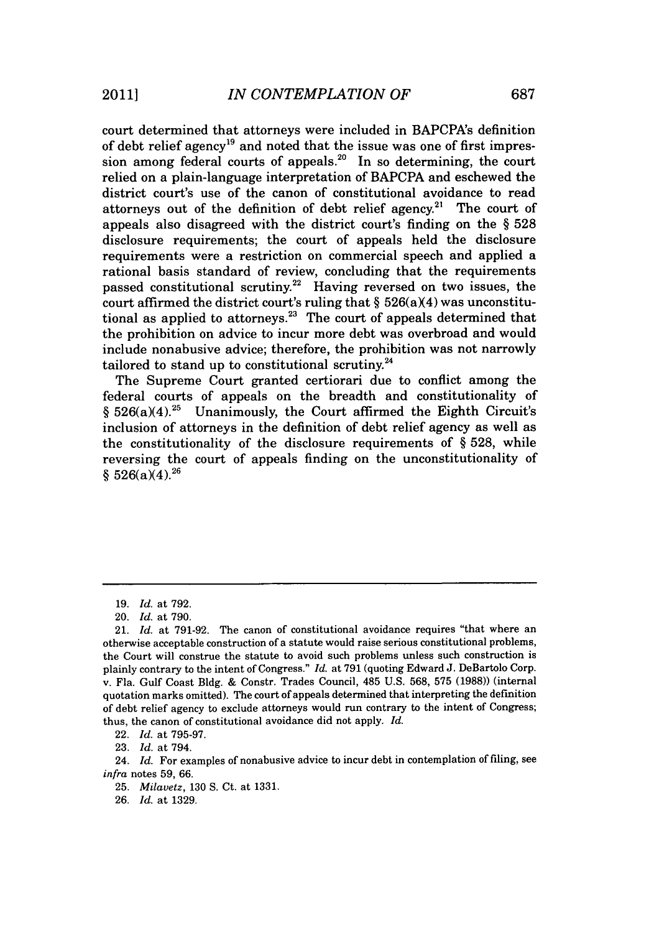court determined that attorneys were included in BAPCPA's definition of debt relief agency<sup>19</sup> and noted that the issue was one of first impression among federal courts of appeals.<sup>20</sup> In so determining, the court relied on a plain-language interpretation of BAPCPA and eschewed the district court's use of the canon of constitutional avoidance to read attorneys out of the definition of debt relief agency.<sup>21</sup> The court of appeals also disagreed with the district court's finding on the *§* **528** disclosure requirements; the court of appeals held the disclosure requirements were a restriction on commercial speech and applied a rational basis standard of review, concluding that the requirements passed constitutional scrutiny.<sup>22</sup> Having reversed on two issues, the court affirmed the district court's ruling that  $\S$  526(a)(4) was unconstitutional as applied to attorneys.<sup>23</sup> The court of appeals determined that the prohibition on advice to incur more debt was overbroad and would include nonabusive advice; therefore, the prohibition was not narrowly tailored to stand up to constitutional scrutiny. $24$ 

The Supreme Court granted certiorari due to conflict among the federal courts of appeals on the breadth and constitutionality of  $§ 526(a)(4).^{25}$  Unanimously, the Court affirmed the Eighth Circuit's inclusion of attorneys in the definition of debt relief agency as well as the constitutionality of the disclosure requirements of **§ 528,** while reversing the court of appeals finding on the unconstitutionality of  $§ 526(a)(4).^{26}$ 

22. *Id.* at **795-97.**

**23.** *Id.* at 794.

24. *Id.* For examples of nonabusive advice to incur debt in contemplation of filing, see *infra* notes **59, 66.**

**25.** *Milavetz,* **130 S.** Ct. at **1331.**

**26.** *Id.* at *1329.*

**<sup>19.</sup>** *Id.* at **792.**

<sup>20.</sup> *Id.* at **790.**

<sup>21.</sup> *Id.* at **791-92.** The canon of constitutional avoidance requires "that where an otherwise acceptable construction of a statute would raise serious constitutional problems, the Court will construe the statute to avoid such problems unless such construction is plainly contrary to the intent of Congress." *Id.* at **791** (quoting Edward **J.** DeBartolo Corp. v. Fla. Gulf Coast **Bldg. &** Constr. Trades Council, 485 **U.S. 568, 575 (1988))** (internal quotation marks omitted). The court of appeals determined that interpreting the definition of debt relief agency to exclude attorneys would run contrary to the intent of Congress; thus, the canon of constitutional avoidance did not apply. *Id.*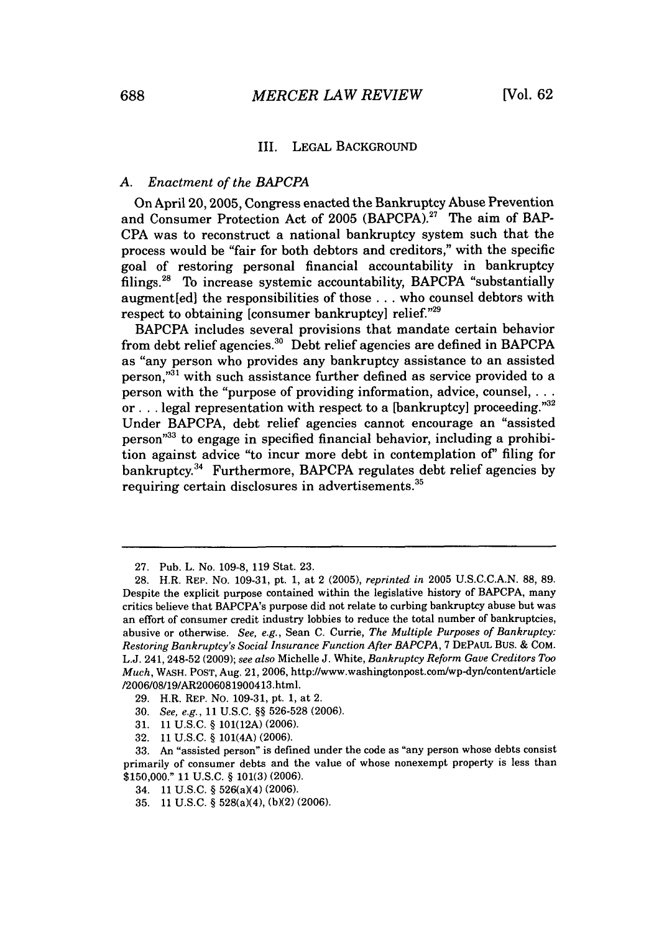#### III. **LEGAL BACKGROUND**

#### *A. Enactment of the BAPCPA*

On April 20, **2005,** Congress enacted the Bankruptcy Abuse Prevention and Consumer Protection Act of **2005** (BAPCPA).27 The aim of BAP-**CPA** was to reconstruct a national bankruptcy system such that the process would be "fair for both debtors and creditors," with the specific goal of restoring personal financial accountability in bankruptcy filings. 28 To increase systemic accountability, BAPCPA "substantially augment[ed] the responsibilities of those **...** who counsel debtors with respect to obtaining [consumer bankruptcy] relief."<sup>29</sup>

BAPCPA includes several provisions that mandate certain behavior from debt relief agencies.<sup>30</sup> Debt relief agencies are defined in BAPCPA as "any person who provides any bankruptcy assistance to an assisted person,"<sup>31</sup> with such assistance further defined as service provided to a person with the "purpose of providing information, advice, counsel, ... or . . . legal representation with respect to a [bankruptcy] proceeding."<sup>32</sup> Under BAPCPA, debt relief agencies cannot encourage an "assisted person<sup>33</sup> to engage in specified financial behavior, including a prohibition against advice "to incur more debt in contemplation *of'* filing for bankruptcy." Furthermore, BAPCPA regulates debt relief agencies **by** requiring certain disclosures in advertisements.<sup>35</sup>

**32. 11 U.S.C.** *§* 101(4A) **(2006).**

34. **11 U.S.C.** *§* 526(aX4) **(2006).**

**<sup>27.</sup>** Pub. L. No. **109-8, 119** Stat. **23.**

**<sup>28.</sup>** H.R. REP. No. **109-31,** *pt.* **1,** at 2 **(2005),** *reprinted in* **2005 U.S.C.C.A.N. 88, 89.** Despite the explicit purpose contained within the legislative history of BAPCPA, many critics believe that BAPCPA's purpose did not relate to curbing bankruptcy abuse but was an effort of consumer credit industry lobbies to reduce the total number of bankruptcies, abusive or otherwise. See, *e.g.,* Sean **C.** Currie, *The Multiple Purposes of Bankruptcy: Restoring Bankruptcy's Social Insurance Function After BAPCPA,* **7 DEPAUL** Bus. **&** COM. **L.J.** 241, 248-52 **(2009);** *see also* Michelle **J.** White, *Bankruptcy Reform Gave Creditors Too Much,* WASH. **POST,** Aug. 21, **2006,** http://www.washingtonpost.com/wp-dyn/content/article **/2006/08/19/AR2006081900413.html.**

**<sup>29.</sup>** H.R. REP. No. **109-31,** pt. **1,** at 2.

**<sup>30.</sup>** *See, e.g., 11* **U.S.C.** *§§* **526-528 (2006).**

**<sup>31. 11</sup> U.S.C.** *§* **101(12A) (2006).**

**<sup>33.</sup>** An "assisted person" is defined under the code as "any person whose debts consist primarily of consumer debts and the value of whose nonexempt property is less than **\$150,000." 11 U.S.C.** *§* **101(3) (2006).**

**<sup>35. 11</sup> U.S.C.** *§* 528(a)(4), **(bX2) (2006).**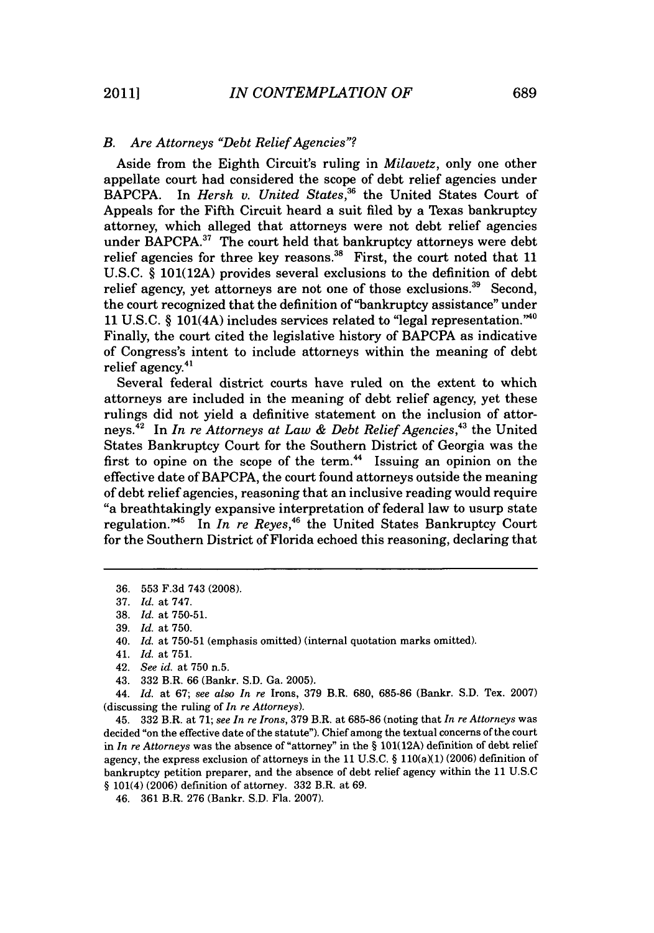#### *B. Are Attorneys "Debt Relief Agencies"?*

Aside from the Eighth Circuit's ruling in *Milavetz,* only one other appellate court had considered the scope of debt relief agencies under BAPCPA. In *Hersh v. United States*,<sup>36</sup> the United States Court of Appeals for the Fifth Circuit heard a suit filed **by** a Texas bankruptcy attorney, which alleged that attorneys were not debt relief agencies under BAPCPA.<sup>37</sup> The court held that bankruptcy attorneys were debt relief agencies for three key reasons.<sup>38</sup> First, the court noted that 11 **U.S.C. § 101(12A)** provides several exclusions to the definition of debt relief agency, yet attorneys are not one of those exclusions.<sup>39</sup> Second, the court recognized that the definition of "bankruptcy assistance" under **11 U.S.C.** *§* 101(4A) includes services related to "legal representation."'o Finally, the court cited the legislative history of BAPCPA as indicative of Congress's intent to include attorneys within the meaning of debt relief agency.<sup>41</sup>

Several federal district courts have ruled on the extent to which attorneys are included in the meaning of debt relief agency, yet these rulings did not yield a definitive statement on the inclusion of attorneys. In *In re Attorneys at Law & Debt Relief Agencies,"* the United States Bankruptcy Court for the Southern District of Georgia was the first to opine on the scope of the term.<sup>44</sup> Issuing an opinion on the effective date of BAPCPA, the court found attorneys outside the meaning of debt relief agencies, reasoning that an inclusive reading would require "a breathtakingly expansive interpretation of federal law to usurp state regulation."<sup>45</sup> In *In re Reyes*,<sup>46</sup> the United States Bankruptcy Court for the Southern District of Florida echoed this reasoning, declaring that

*44. Id.* at *67; see also In re* Irons, **379** B.R. **680, 685-86** (Bankr. **S.D.** Tex. **2007)** (discussing the ruling of *In re Attorneys).*

45. **332** B.R. at **71;** *see In re Irons,* **379** B.R. at **685-86** (noting that *In re Attorneys* was decided "on the effective date of the statute"). Chief among the textual concerns of the court in *In re Attorneys* was the absence of "attorney" in the *§* **101(12A)** definition of debt relief agency, the express exclusion of attorneys in the 11 U.S.C. § 110(a)(1) (2006) definition of bankruptcy petition preparer, and the absence of debt relief agency within the **11 U.S.C** *§* 101(4) **(2006)** definition of attorney. **332** B.R. at *69.*

**<sup>36. 553</sup> F.3d** 743 **(2008).**

**<sup>37.</sup>** *Id. at 747.*

**<sup>38.</sup>** *Id. at* **750-51.**

**<sup>39.</sup>** *Id. at* **750.**

<sup>40.</sup> *Id. at* **750-51** (emphasis omitted) (internal quotation marks omitted).

<sup>41.</sup> *Id.* at **751.**

<sup>42.</sup> *See id.* at **750** n.5.

<sup>43.</sup> **332** B.R. **66** (Bankr. **S.D.** Ga. **2005).**

*<sup>46.</sup>* **361** B.R. **276** (Bankr. **S.D.** Fla. **2007).**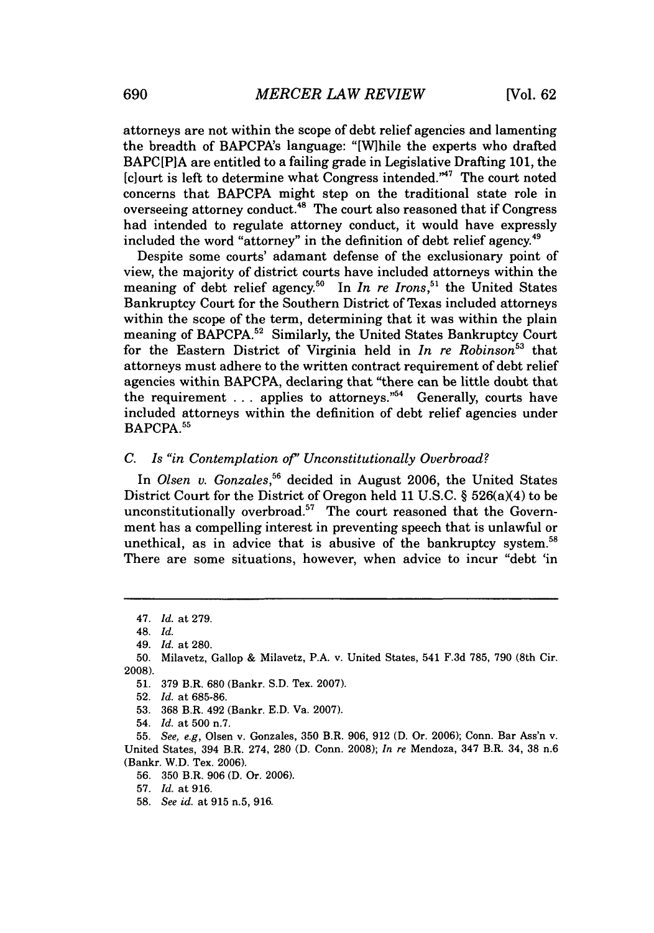attorneys are not within the scope of debt relief agencies and lamenting the breadth of BAPCPA's language: "[W]hile the experts who drafted BAPC[P]A are entitled to a failing grade in Legislative Drafting **101,** the  $[c]$ ourt is left to determine what Congress intended."<sup>47</sup> The court noted concerns that BAPCPA might step on the traditional state role in overseeing attorney conduct.<sup>48</sup> The court also reasoned that if Congress had intended to regulate attorney conduct, it would have expressly included the word "attorney" in the definition of debt relief agency.<sup>49</sup>

Despite some courts' adamant defense of the exclusionary point of view, the majority of district courts have included attorneys within the meaning of debt relief agency.<sup>50</sup> In *In re Irons*,<sup>51</sup> the United States Bankruptcy Court for the Southern District of Texas included attorneys within the scope of the term, determining that it was within the plain meaning of BAPCPA.<sup>52</sup> Similarly, the United States Bankruptcy Court for the Eastern District of Virginia held in *In re Robinson*<sup>53</sup> that attorneys must adhere to the written contract requirement of debt relief agencies within BAPCPA, declaring that "there can be little doubt that the requirement . . . applies to attorneys."<sup>54</sup> Generally, courts have included attorneys within the definition of debt relief agencies under BAPCPA.<sup>55</sup>

#### *C. Is "in Contemplation of' Unconstitutionally Overbroad?*

In *Olsen v. Gonzales, <sup>5</sup>*decided in August **2006,** the United States District Court for the District of Oregon held **11 U.S.C.** *§* 526(a)(4) to be unconstitutionally overbroad.<sup>57</sup> The court reasoned that the Government has a compelling interest in preventing speech that is unlawful or unethical, as in advice that is abusive of the bankruptcy system.<sup>58</sup> There are some situations, however, when advice to incur "debt 'in

*<sup>47.</sup> Id.* at **279.**

<sup>48.</sup> *Id.*

*<sup>49.</sup> Id.* at **280.**

**<sup>50.</sup>** Milavetz, Gallop **&** Milavetz, P.A. v. United States, 541 **F.3d 785, 790** (8th Cir. **2008).**

**<sup>51. 379</sup>** B.R. **680** (Bankr. **S.D.** Tex. **2007).**

**<sup>52.</sup>** *Id.* at **685-86.**

**<sup>53. 368</sup>** B.R. 492 (Bankr. **E.D.** Va. **2007).**

<sup>54.</sup> *Id.* at **500** n.7.

**<sup>55.</sup>** *See, e.g,* Olsen v. Gonzales, **350** B.R. **906, 912 (D.** Or. **2006);** Conn. Bar Ass'n v. United States, 394 B.R. 274, **280 (D.** Conn. **2008);** *In re* Mendoza, 347 B.R. 34, **38** n.6 (Bankr. W.D. Tex. **2006).**

**<sup>56. 350</sup>** B.R. **906 (D.** Or. **2006).**

**<sup>57.</sup>** *Id.* at **916.**

**<sup>58.</sup>** *See id.* at **915** n.5, **916.**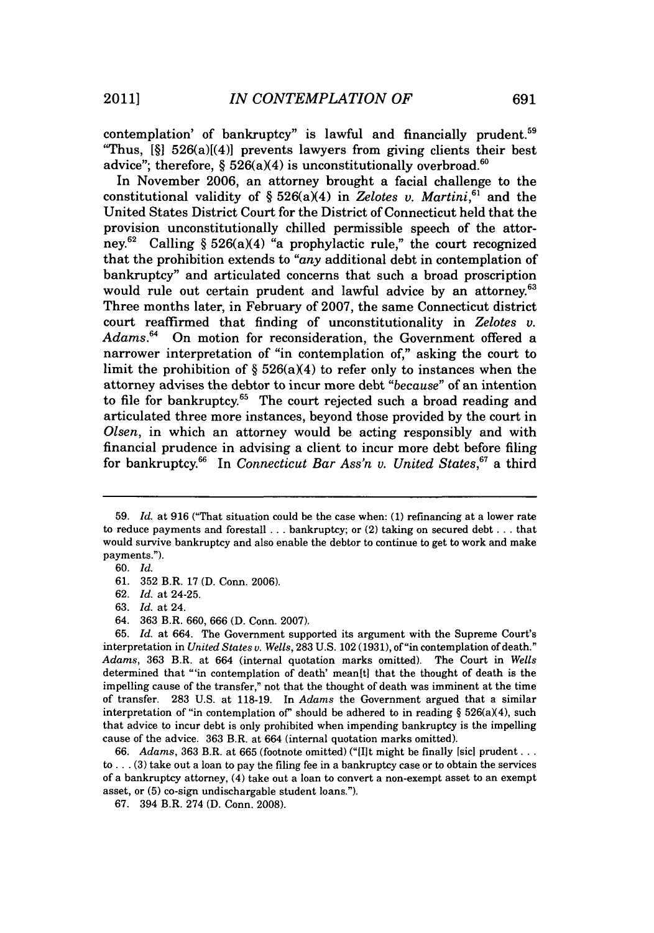contemplation' of bankruptcy" is lawful and financially prudent.<sup>59</sup> "Thus, **[§1** 526(a)[(4)] prevents lawyers from giving clients their best advice"; therefore,  $\S 526(a)(4)$  is unconstitutionally overbroad.<sup>60</sup>

In November **2006,** an attorney brought a facial challenge to the constitutional validity of  $\S 526(a)(4)$  in *Zelotes v. Martini*,<sup>61</sup> and the United States District Court for the District of Connecticut held that the provision unconstitutionally chilled permissible speech of the attorney.<sup>62</sup> Calling §  $526(a)(4)$  "a prophylactic rule," the court recognized that the prohibition extends to *"any* additional debt in contemplation of bankruptcy" and articulated concerns that such a broad proscription would rule out certain prudent and lawful advice by an attorney.<sup>63</sup> Three months later, in February of **2007,** the same Connecticut district court reaffirmed that finding of unconstitutionality in *Zelotes v. Adams.64* On motion for reconsideration, the Government offered a narrower interpretation of "in contemplation of," asking the court to limit the prohibition of  $\S$  526(a)(4) to refer only to instances when the attorney advises the debtor to incur more debt *"because"* of an intention to file for bankruptcy.<sup>65</sup> The court rejected such a broad reading and articulated three more instances, beyond those provided **by** the court in *Olsen,* in which an attorney would be acting responsibly and with financial prudence in advising a client to incur more debt before filing for bankruptcy.<sup>66</sup> In *Connecticut Bar Ass'n v. United States*,<sup>67</sup> a third

**<sup>59.</sup>** *Id.* at **916** ("That situation could be the case when: **(1)** refinancing at a lower rate to reduce payments and forestall **...** bankruptcy; or (2) taking on secured debt **...** that would survive bankruptcy and also enable the debtor to continue to get to work and make payments.").

**<sup>60.</sup>** *Id.*

**<sup>61. 352</sup>** B.R. **17 (D.** Conn. **2006).**

**<sup>62.</sup>** *Id.* at 24-25.

**<sup>63.</sup>** *Id.* at 24.

<sup>64.</sup> **363** B.R. **660, 666 (D.** Conn. **2007).**

**<sup>65.</sup>** *Id.* at 664. The Government supported its argument with the Supreme Court's interpretation in *United States v. Wells,* **283 U.S.** 102 **(1931),** of"in contemplation of death." *Adams,* **363** B.R. at 664 (internal quotation marks omitted). The Court in *Wells* determined that "'in contemplation of death' mean [t] that the thought of death is the impelling cause of the transfer," not that the thought of death was imminent at the time of transfer. **283 U.S.** at **118-19.** In *Adams* the Government argued that a similar interpretation of "in contemplation of" should be adhered to in reading  $\S$  526(a)(4), such that advice to incur debt is only prohibited when impending bankruptcy is the impelling cause of the advice. **363** B.R. at 664 (internal quotation marks omitted).

**<sup>66.</sup>** *Adams,* **363** B.R. at **665** (footnote omitted) ("[I]t might be finally [sic] prudent **...** to **... (3)** take out a loan to pay the filing fee in a bankruptcy case or to obtain the services of a bankruptcy attorney, (4) take out a loan to convert a non-exempt asset to an exempt asset, or **(5)** co-sign undischargable student loans.").

**<sup>67.</sup>** 394 B.R. 274 **(D.** Conn. **2008).**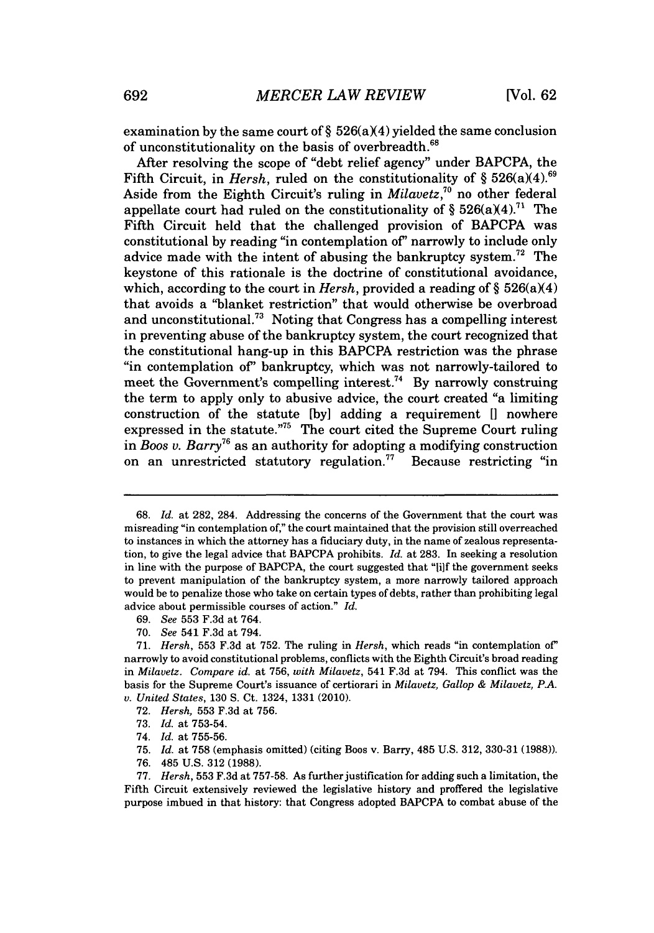examination by the same court of  $\S$  526(a)(4) yielded the same conclusion of unconstitutionality on the basis of overbreadth.<sup>68</sup>

After resolving the scope of "debt relief agency" under BAPCPA, the Fifth Circuit, in *Hersh*, ruled on the constitutionality of  $\S 526(a)(4).^{69}$ Aside from the Eighth Circuit's ruling in *Milavetz*,<sup>70</sup> no other federal appellate court had ruled on the constitutionality of  $\S 526(a)(4)$ .<sup>71</sup> The Fifth Circuit held that the challenged provision of BAPCPA was constitutional **by** reading "in contemplation of' narrowly to include only advice made with the intent of abusing the bankruptcy system.72 The keystone of this rationale is the doctrine of constitutional avoidance, which, according to the court in *Hersh*, provided a reading of  $\S 526(a)(4)$ that avoids a "blanket restriction" that would otherwise be overbroad and unconstitutional.<sup>73</sup> Noting that Congress has a compelling interest in preventing abuse of the bankruptcy system, the court recognized that the constitutional hang-up in this BAPCPA restriction was the phrase "in contemplation of' bankruptcy, which was not narrowly-tailored to meet the Government's compelling interest.<sup>74</sup> By narrowly construing the term to apply only to abusive advice, the court created "a limiting construction of the statute **[by]** adding a requirement **[I** nowhere expressed in the statute."<sup>75</sup> The court cited the Supreme Court ruling in *Boos v. Barry*<sup>76</sup> as an authority for adopting a modifying construction on an unrestricted statutory regulation.<sup>77</sup> Because restricting "in

**70.** *See* 541 **F.3d** at 794.

- **72.** *Hersh,* **553 F.3d** at **756.**
- **73.** *Id.* at **753-54.**
- 74. *Id.* at **755-56.**
- **75.** *Id.* at **758** (emphasis omitted) (citing Boos v. Barry, 485 **U.S. 312, 330-31 (1988)).**
- **76.** 485 **U.S. 312 (1988).**

**<sup>68.</sup>** *Id.* at **282,** 284. Addressing the concerns of the Government that the court was misreading "in contemplation of," the court maintained that the provision still overreached to instances in which the attorney has a fiduciary duty, in the name of zealous representation, to give the legal advice that BAPCPA prohibits. *Id.* at **283.** In seeking a resolution in line with the purpose of BAPCPA, the court suggested that "Ii]f the government seeks to prevent manipulation of the bankruptcy system, a more narrowly tailored approach would be to penalize those who take on certain types of debts, rather than prohibiting legal advice about permissible courses of action." *Id.*

*<sup>69.</sup> See* **553 F.3d** at 764.

*<sup>71.</sup> Hersh,* **553 F.3d** at **752.** The ruling in *Hersh,* which reads "in contemplation of" narrowly to avoid constitutional problems, conflicts with the Eighth Circuit's broad reading in *Milavetz. Compare id.* at **756,** *with Milavetz,* 541 **F.3d** at 794. This conflict was the basis for the Supreme Court's issuance of certiorari in *Milavetz, Gallop & Milavetz, PA. v. United States,* **130 S.** Ct. 1324, **1331** (2010).

**<sup>77.</sup>** *Hersh,* **553 F.3d** at **757-58.** As further justification for adding such a limitation, the Fifth Circuit extensively reviewed the legislative history and proffered the legislative purpose imbued in that history: that Congress adopted BAPCPA to combat abuse of the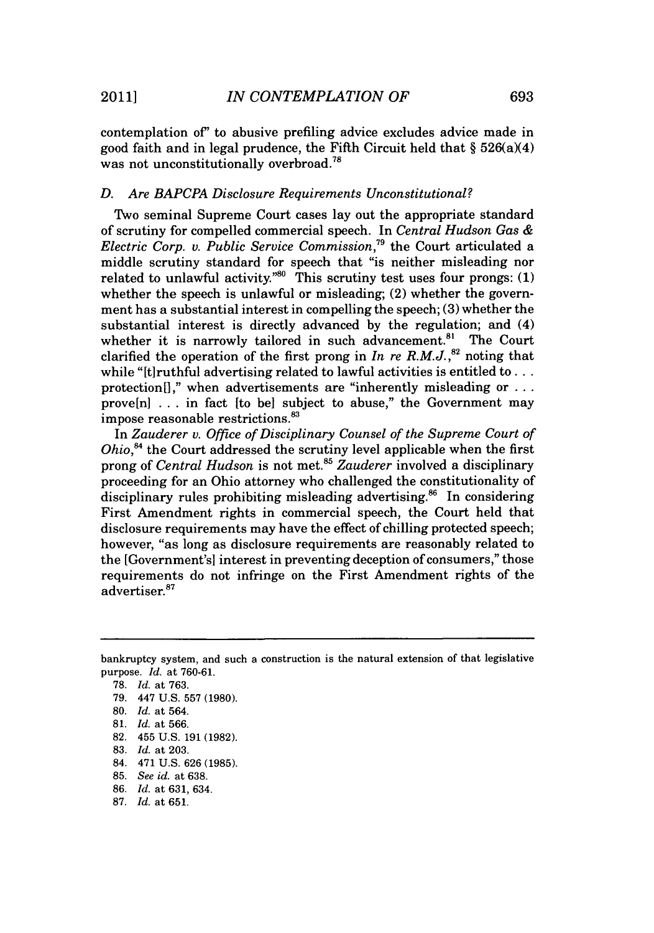contemplation of" to abusive prefiling advice excludes advice made in good faith and in legal prudence, the Fifth Circuit held that § 526(a)(4) was not unconstitutionally overbroad.<sup>78</sup>

#### *D. Are BAPCPA Disclosure Requirements Unconstitutional?*

Two seminal Supreme Court cases lay out the appropriate standard of scrutiny for compelled commercial speech. In *Central Hudson Gas & Electric Corp. v. Public Service Commission,"* the Court articulated a middle scrutiny standard for speech that "is neither misleading nor related to unlawful activity.<sup>"80</sup> This scrutiny test uses four prongs:  $(1)$ whether the speech is unlawful or misleading; (2) whether the government has a substantial interest in compelling the speech; **(3)** whether the substantial interest is directly advanced **by** the regulation; and (4) whether it is narrowly tailored in such advancement.<sup>81</sup> The Court clarified the operation of the first prong in  $In$  re  $R.M.J.,<sup>82</sup>$  noting that while "[t]ruthful advertising related to lawful activities is entitled to **...** protection[]," when advertisements are "inherently misleading or ... prove[n] **.** . **.** in fact [to be] subject to abuse," the Government may impose reasonable restrictions.

In *Zauderer v. Office of Disciplinary Counsel of the Supreme Court of Ohio*,<sup>84</sup> the Court addressed the scrutiny level applicable when the first prong of *Central Hudson* is not met.85 *Zauderer* involved a disciplinary proceeding for an Ohio attorney who challenged the constitutionality of disciplinary rules prohibiting misleading advertising.<sup>86</sup> In considering First Amendment rights in commercial speech, the Court held that disclosure requirements may have the effect of chilling protected speech; however, "as long as disclosure requirements are reasonably related to the [Government's] interest in preventing deception of consumers," those requirements do not infringe on the First Amendment rights of the advertiser.<sup>87</sup>

- 84. 471 **U.S. 626 (1985).**
- **85.** *See id.* at **638.**
- **86.** *Id.* at **631,** 634.
- **87.** *Id.* at **651.**

bankruptcy system, and such a construction is the natural extension of that legislative purpose. *Id.* at **760-61.**

**<sup>78.</sup>** *Id.* at **763.**

**<sup>79.</sup>** 447 **U.S. 557 (1980).**

**<sup>80.</sup>** *Id.* at 564.

**<sup>81.</sup>** *Id.* at **566.**

**<sup>82.</sup>** 455 **U.S. 191 (1982).**

**<sup>83.</sup>** *Id.* at **203.**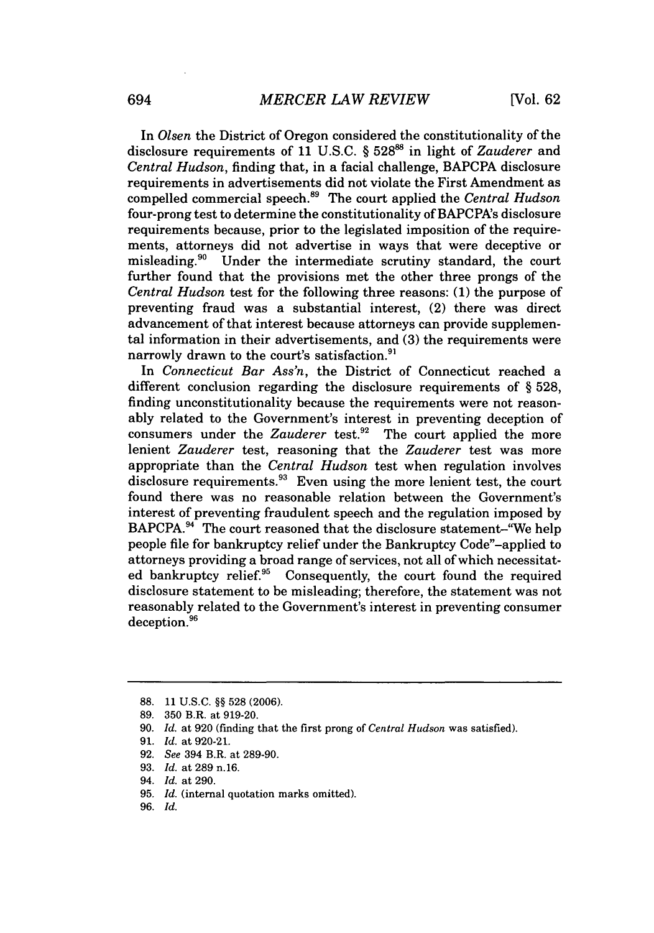In *Olsen* the District of Oregon considered the constitutionality of the disclosure requirements of **11 U.S.C. § 528** in light of *Zauderer* and *Central Hudson,* finding that, in a facial challenge, BAPCPA disclosure requirements in advertisements did not violate the First Amendment as compelled commercial speech.89 The court applied the *Central Hudson* four-prong test to determine the constitutionality of BAPCPA's disclosure requirements because, prior to the legislated imposition of the requirements, attorneys did not advertise in ways that were deceptive or misleading.9" Under the intermediate scrutiny standard, the court further found that the provisions met the other three prongs of the *Central Hudson* test for the following three reasons: **(1)** the purpose of preventing fraud was a substantial interest, (2) there was direct advancement of that interest because attorneys can provide supplemental information in their advertisements, and **(3)** the requirements were narrowly drawn to the court's satisfaction.<sup>91</sup>

In *Connecticut Bar Ass'n,* the District of Connecticut reached a different conclusion regarding the disclosure requirements of **§ 528,** finding unconstitutionality because the requirements were not reasonably related to the Government's interest in preventing deception of consumers under the *Zauderer* test.<sup>92</sup> The court applied the more lenient *Zauderer* test, reasoning that the *Zauderer* test was more appropriate than the *Central Hudson* test when regulation involves disclosure requirements. $93$  Even using the more lenient test, the court found there was no reasonable relation between the Government's interest of preventing fraudulent speech and the regulation imposed **by** BAPCPA.<sup>94</sup> The court reasoned that the disclosure statement-"We help people file for bankruptcy relief under the Bankruptcy Code"-applied to attorneys providing a broad range of services, not all of which necessitated bankruptcy relief.<sup>95</sup> Consequently, the court found the required disclosure statement to be misleading; therefore, the statement was not reasonably related to the Government's interest in preventing consumer deception.<sup>96</sup>

- **93.** *Id.* at **289 n.16.**
- 94. *Id.* at **290.**
- **95.** *Id.* (internal quotation marks omitted).
- **96.** *Id.*

**<sup>88. 11</sup> U.S.C.** *§§* **528 (2006).**

**<sup>89. 350</sup>** B.R. at **919-20.**

**<sup>90.</sup>** *Id. at* **920** (finding that the first prong of *Central Hudson* was satisfied).

**<sup>91.</sup>** *Id.* at **920-21.**

**<sup>92.</sup>** *See* 394 B.R. at **289-90.**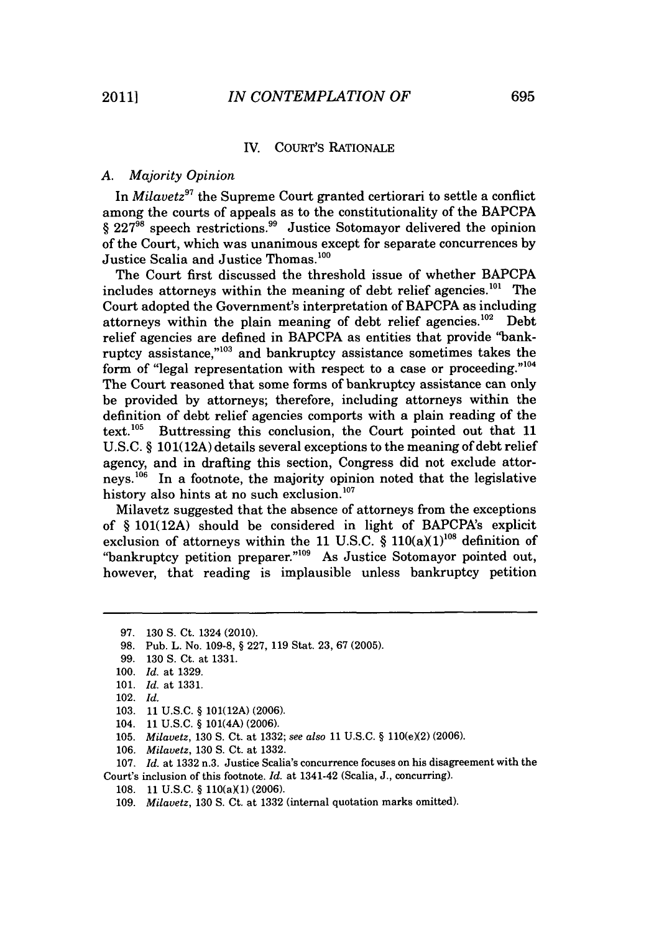#### IV. COURT's RATIONALE

#### *A. Majority Opinion*

*In Milavetz9'* the Supreme Court granted certiorari to settle a conflict among the courts of appeals as to the constitutionality of the BAPCPA § 227<sup>98</sup> speech restrictions.<sup>99</sup> Justice Sotomayor delivered the opinion of the Court, which was unanimous except for separate concurrences **by** Justice Scalia and Justice Thomas.<sup>100</sup>

The Court first discussed the threshold issue of whether BAPCPA includes attorneys within the meaning of debt relief agencies.<sup>101</sup> The Court adopted the Government's interpretation of BAPCPA as including attorneys within the plain meaning of debt relief agencies.<sup>102</sup> Debt relief agencies are defined in BAPCPA as entities that provide "bankruptcy assistance," $103$  and bankruptcy assistance sometimes takes the form of "legal representation with respect to a case or proceeding."'<sup>04</sup> The Court reasoned that some forms of bankruptcy assistance can only be provided **by** attorneys; therefore, including attorneys within the definition of debt relief agencies comports with a plain reading of the text.<sup>105</sup> Buttressing this conclusion, the Court pointed out that 11 Buttressing this conclusion, the Court pointed out that 11 **U.S.C.** *§* **101(12A)** details several exceptions to the meaning of debt relief agency, and in drafting this section, Congress did not exclude attorneys.<sup>106</sup> In a footnote, the majority opinion noted that the legislative history also hints at no such exclusion. **<sup>07</sup>**

Milavetz suggested that the absence of attorneys from the exceptions of *§* **101(12A)** should be considered in light of BAPCPA's explicit exclusion of attorneys within the 11 U.S.C.  $\S$  110(a)(1)<sup>108</sup> definition of "bankruptcy petition preparer."09 As Justice Sotomayor pointed out, however, that reading is implausible unless bankruptcy petition

**98.** Pub. L. No. **109-8, § 227, 119** Stat. **23, 67 (2005).**

**100.** *Id.* at **1329.**

- **103. 11 U.S.C. § 101(12A) (2006).**
- 104. **11 U.S.C. §** 101(4A) **(2006).**
- **105.** *Milavetz*, **130 S. Ct. at 1332;** *see also* **11 U.S.C. § 110(e)(2) (2006).**
- **106.** *Milavetz,* **130 S.** Ct. at **1332.**

**107.** *Id.* at **1332** n.3. Justice Scalia's concurrence focuses on his disagreement with the Court's inclusion of this footnote. *Id.* at 1341-42 (Scalia, **J.,** concurring).

108. 11 U.S.C. § 110(a)(1) (2006).

**<sup>97. 130</sup> S.** Ct. 1324 (2010).

**<sup>99. 130</sup> S.** Ct. at **1331.**

**<sup>101.</sup>** *Id.* at **1331.**

<sup>102.</sup> *Id.*

*<sup>109.</sup> Milavetz,* **130 S.** Ct. at **1332** (internal quotation marks omitted).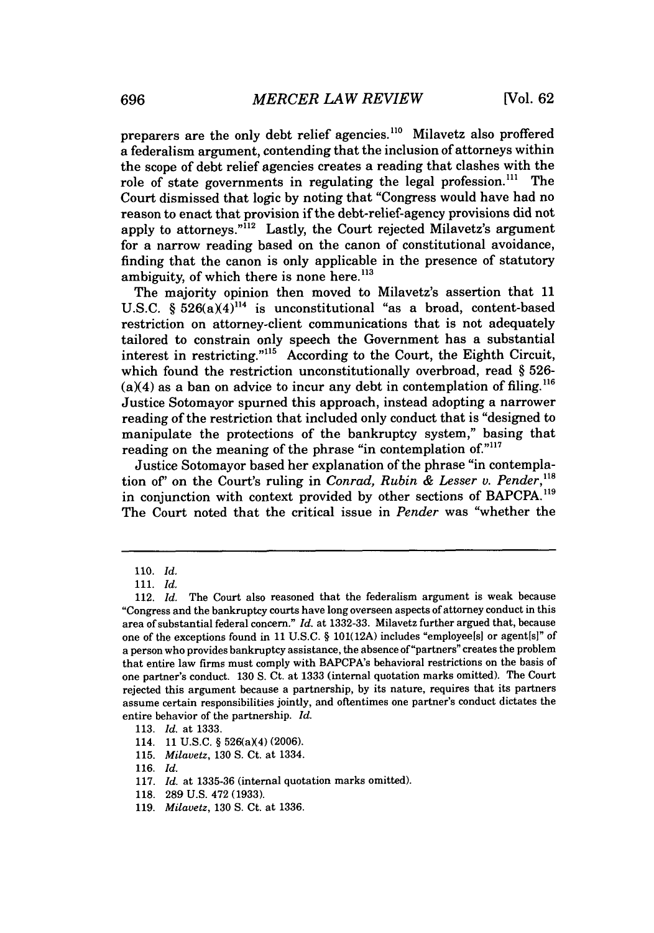preparers are the only debt relief agencies.<sup>110</sup> Milavetz also proffered a federalism argument, contending that the inclusion of attorneys within the scope of debt relief agencies creates a reading that clashes with the role of state governments in regulating the legal profession.<sup>111</sup> The Court dismissed that logic **by** noting that "Congress would have had no reason to enact that provision if the debt-relief-agency provisions did not apply to attorneys."<sup>112</sup> Lastly, the Court rejected Milavetz's argument for a narrow reading based on the canon of constitutional avoidance, finding that the canon is only applicable in the presence of statutory ambiguity, of which there is none here. **<sup>113</sup>**

The majority opinion then moved to Milavetz's assertion that **11** U.S.C.  $\frac{6}{526(a)(4)^{114}}$  is unconstitutional "as a broad, content-based restriction on attorney-client communications that is not adequately tailored to constrain only speech the Government has a substantial interest in restricting." $115$  According to the Court, the Eighth Circuit, which found the restriction unconstitutionally overbroad, read *§* **526-**  $(a)(4)$  as a ban on advice to incur any debt in contemplation of filing.<sup>116</sup> Justice Sotomayor spurned this approach, instead adopting a narrower reading of the restriction that included only conduct that is "designed to manipulate the protections of the bankruptcy system," basing that reading on the meaning of the phrase "in contemplation of."<sup>117</sup>

Justice Sotomayor based her explanation of the phrase "in contemplation of" on the Court's ruling in *Conrad, Rubin & Lesser v. Pender*,<sup>118</sup> in conjunction with context provided by other sections of BAPCPA.<sup>119</sup> The Court noted that the critical issue in *Pender* was "whether the

*<sup>110.</sup> Id.*

*<sup>111.</sup> Id.*

<sup>112.</sup> *Id.* The Court also reasoned that the federalism argument is weak because "Congress and the bankruptcy courts have long overseen aspects of attorney conduct in this area of substantial federal concern." *Id.* at **1332-33.** Milavetz further argued that, because one of the exceptions found in **11** *U.S.C.* **§ 101(12A)** includes "employee[s] or agent[s]" of a person who provides bankruptcy assistance, the absence of "partners" creates the problem that entire law firms must comply with BAPCPA's behavioral restrictions on the basis of one partner's conduct. **130 S.** Ct. at **1333** (internal quotation marks omitted). The Court rejected this argument because a partnership, **by** its nature, requires that its partners assume certain responsibilities jointly, and oftentimes one partner's conduct dictates the entire behavior of the partnership. *Id.*

**<sup>113.</sup>** *Id.* at **1333.**

<sup>114.</sup> **11 U.S.C.** § 526(a)(4) (2006).

**<sup>115.</sup>** *Milavetz,* **130 S.** Ct. at 1334.

**<sup>116.</sup>** *Id.*

**<sup>117.</sup>** *Id.* at **1335-36** (internal quotation marks omitted).

**<sup>118. 289</sup> U.S.** 472 **(1933).**

**<sup>119.</sup>** *Milavetz,* **130 S.** Ct. at **1336.**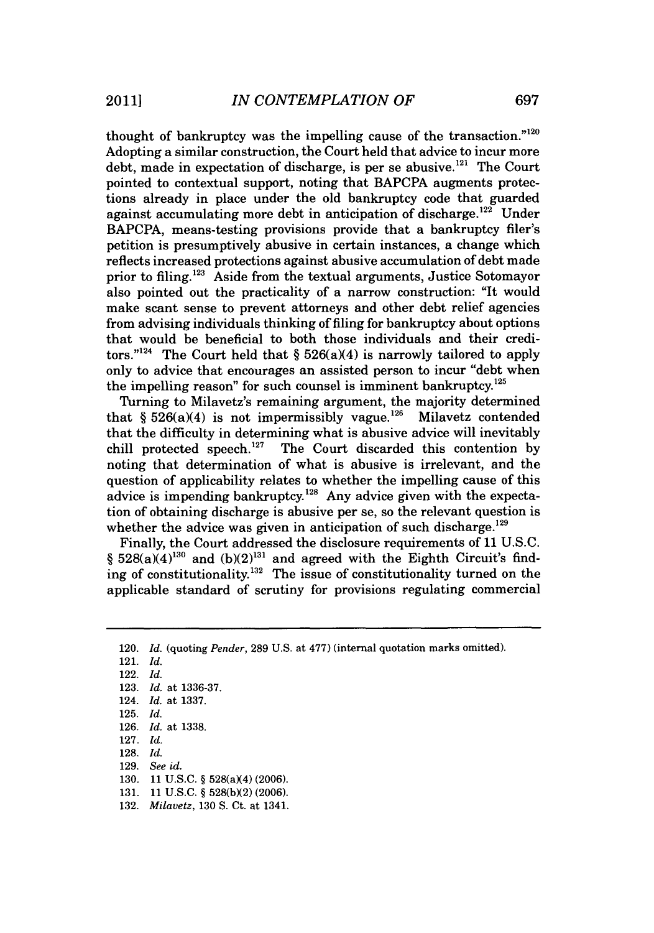thought of bankruptcy was the impelling cause of the transaction."120 Adopting a similar construction, the Court held that advice to incur more debt, made in expectation of discharge, is per se abusive.<sup>121</sup> The Court pointed to contextual support, noting that BAPCPA augments protections already in place under the old bankruptcy code that guarded against accumulating more debt in anticipation of discharge.<sup>122</sup> Under BAPCPA, means-testing provisions provide that a bankruptcy filer's petition is presumptively abusive in certain instances, a change which reflects increased protections against abusive accumulation of debt made prior to filing.<sup>123</sup> Aside from the textual arguments, Justice Sotomayor also pointed out the practicality of a narrow construction: "It would make scant sense to prevent attorneys and other debt relief agencies from advising individuals thinking of filing for bankruptcy about options that would be beneficial to both those individuals and their creditors."<sup>124</sup> The Court held that  $\S 526(a)(4)$  is narrowly tailored to apply only to advice that encourages an assisted person to incur "debt when the impelling reason" for such counsel is imminent bankruptcy. $125$ 

Turning to Milavetz's remaining argument, the majority determined<br>at  $\delta$  526(a)(4) is not impermissibly vague.<sup>126</sup> Milavetz contended that  $§ 526(a)(4)$  is not impermissibly vague.<sup>126</sup> that the difficulty in determining what is abusive advice will inevitably chill protected speech.127 The Court discarded this contention **by** noting that determination of what is abusive is irrelevant, and the question of applicability relates to whether the impelling cause of this advice is impending bankruptcy.<sup>128</sup> Any advice given with the expectation of obtaining discharge is abusive per se, so the relevant question is whether the advice was given in anticipation of such discharge. $^{129}$ 

Finally, the Court addressed the disclosure requirements of **11 U.S.C.** §  $528(a)(4)^{130}$  and  $(b)(2)^{131}$  and agreed with the Eighth Circuit's finding of constitutionality.<sup>132</sup> The issue of constitutionality turned on the applicable standard of scrutiny for provisions regulating commercial

- **131. 11 U.S.C. § 528(b)(2) (2006).**
- **132.** *Milavetz,* **130 S.** Ct. at 1341.

<sup>120.</sup> *Id.* (quoting *Pender,* **289 U.S.** at **477)** (internal quotation marks omitted).

<sup>121.</sup> *Id.*

<sup>122.</sup> *Id.*

**<sup>123.</sup>** *Id.* at **1336-37.**

<sup>124.</sup> *Id.* at **1337.**

**<sup>125.</sup>** *Id.*

**<sup>126.</sup>** *Id.* at **1338.**

**<sup>127.</sup>** *Id.*

**<sup>128.</sup>** *Id.*

**<sup>129.</sup>** *See id.*

<sup>130. 11</sup> U.S.C. § 528(a)(4) (2006).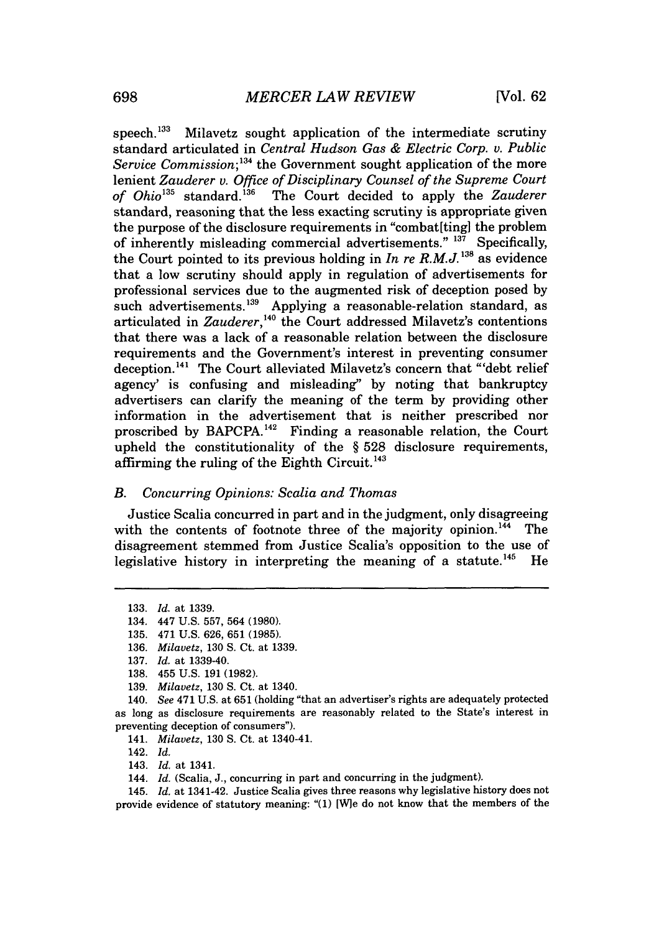speech. $^{133}$  Milavetz sought application of the intermediate scrutiny standard articulated in *Central Hudson Gas & Electric Corp. v. Public Service Commission;* **134** the Government sought application of the more lenient *Zauderer v. Office of Disciplinary Counsel of the Supreme Court of Ohio"'* standard."a' The Court decided to apply the *Zauderer* standard, reasoning that the less exacting scrutiny is appropriate given the purpose of the disclosure requirements in "combat[ting] the problem of inherently misleading commercial advertisements."<sup>137</sup> Specifically, the Court pointed to its previous holding in *In re R.M.J.*<sup>138</sup> as evidence that a low scrutiny should apply in regulation of advertisements for professional services due to the augmented risk of deception posed **by** such advertisements.<sup>139</sup> Applying a reasonable-relation standard, as articulated in *Zauderer*,<sup>140</sup> the Court addressed Milavetz's contentions that there was a lack of a reasonable relation between the disclosure requirements and the Government's interest in preventing consumer deception.<sup>141</sup> The Court alleviated Milavetz's concern that "'debt relief agency' is confusing and misleading" **by** noting that bankruptcy advertisers can clarify the meaning of the term **by** providing other information in the advertisement that is neither prescribed nor proscribed by BAPCPA.<sup>142</sup> Finding a reasonable relation, the Court upheld the constitutionality of the *§* **528** disclosure requirements, affirming the ruling of the Eighth Circuit.<sup>143</sup>

#### *B. Concurring Opinions: Scalia and Thomas*

Justice Scalia concurred in part and in the judgment, only disagreeing with the contents of footnote three of the majority opinion.<sup>144</sup> The disagreement stemmed from Justice Scalia's opposition to the use of legislative history in interpreting the meaning of a statute.<sup>145</sup> He

**<sup>133.</sup>** *Id. at* **1339.**

<sup>134. 447</sup> **U.S. 557,** 564 **(1980).**

**<sup>135.</sup>** 471 **U.S. 626, 651 (1985).**

**<sup>136.</sup>** *Milavetz,* **130 S.** Ct. at **1339.**

**<sup>137.</sup>** *Id. at* 1339-40.

**<sup>138.</sup>** 455 **U.S. 191 (1982).**

**<sup>139.</sup>** *Milavetz,* **130 S.** Ct. at 1340.

<sup>140.</sup> *See* 471 **U.S.** at **651** (holding "that an advertiser's rights are adequately protected as long as disclosure requirements are reasonably related to the State's interest **in** preventing deception of consumers").

<sup>141.</sup> *Milavetz,* **130 S.** Ct. at 1340-41.

<sup>142.</sup> *Id.*

<sup>143.</sup> *Id.* at 1341.

<sup>144.</sup> *Id.* (Scalia, **J.,** concurring in part and concurring in the judgment).

<sup>145.</sup> *Id.* at 1341-42. Justice Scalia gives three reasons why legislative history does not provide evidence of statutory meaning: "(1) [W]e do not know that the members of the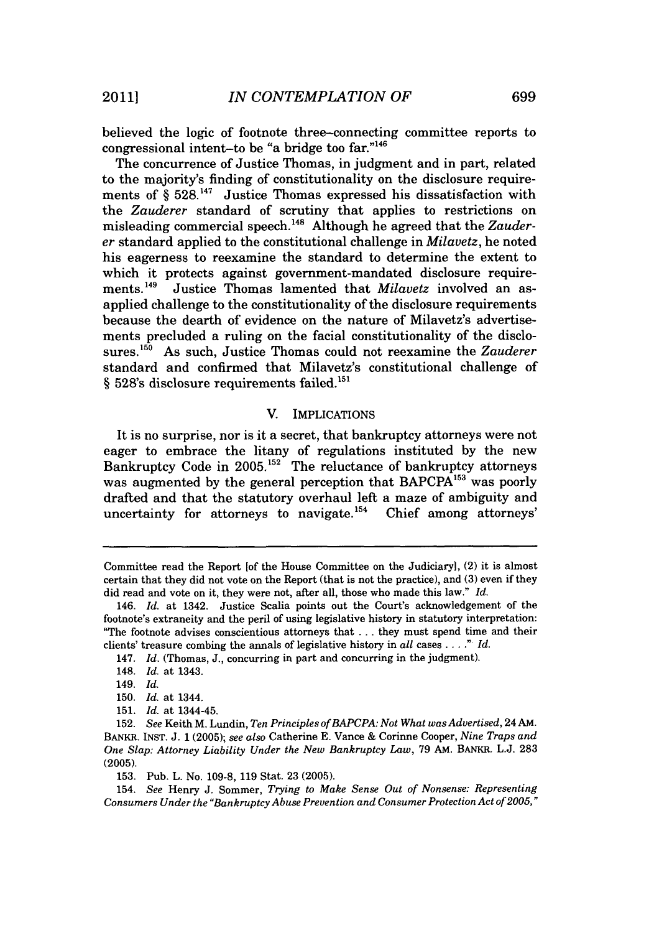believed the logic of footnote three-connecting committee reports to congressional intent-to be "a bridge too far."146

The concurrence of Justice Thomas, in judgment and in part, related to the majority's finding of constitutionality on the disclosure requirements of *§* **528.147** Justice Thomas expressed his dissatisfaction with the *Zauderer* standard of scrutiny that applies to restrictions on misleading commercial speech.<sup>148</sup> Although he agreed that the Zauder*er* standard applied to the constitutional challenge in *Milavetz,* he noted his eagerness to reexamine the standard to determine the extent to which it protects against government-mandated disclosure requirements.<sup>149</sup> Justice Thomas lamented that *Milavetz* involved an asapplied challenge to the constitutionality of the disclosure requirements because the dearth of evidence on the nature of Milavetz's advertisements precluded a ruling on the facial constitutionality of the disclosures.<sup>150</sup> As such, Justice Thomas could not reexamine the *Zauderer* standard and confirmed that Milavetz's constitutional challenge of § 528's disclosure requirements failed.<sup>151</sup>

#### V. IMPLICATIONS

It is no surprise, nor is it a secret, that bankruptcy attorneys were not eager to embrace the litany of regulations instituted **by** the new Bankruptcy Code in **2005.152** The reluctance of bankruptcy attorneys was augmented by the general perception that BAPCPA<sup>153</sup> was poorly drafted and that the statutory overhaul left a maze of ambiguity and uncertainty for attorneys to navigate.<sup>154</sup> Chief among attorneys'

Committee read the Report [of the House Committee on the Judiciary, (2) it is almost certain that they did not vote on the Report (that is not the practice), and **(3)** even if they did read and vote on it, they were not, after all, those who made this law." *Id.*

<sup>146.</sup> *Id.* at 1342. Justice Scalia points out the Court's acknowledgement of the footnote's extraneity and the peril of using legislative history in statutory interpretation: "The footnote advises conscientious attorneys that **.** . **.** they must spend time and their clients' treasure combing the annals of legislative history in *all* cases **. . . ."** *Id.*

<sup>147.</sup> *Id.* (Thomas, **J.,** concurring in part and concurring in the judgment).

<sup>148.</sup> *Id.* at 1343.

<sup>149.</sup> *Id.*

**<sup>150.</sup>** *Id.* at 1344.

**<sup>151.</sup>** *Id.* at 1344-45.

**<sup>152.</sup>** *See* Keith M. Lundin, *Ten Principles of BAPCPA: Not What was Advertised,* 24 **AM.** BANKR. **INST. J. 1 (2005);** *see also* Catherine **E.** Vance **&** Corinne Cooper, *Nine Traps and One Slap: Attorney Liability Under the New Bankruptcy Law,* **79 AM.** BANKR. **L.J. 283 (2005).**

**<sup>153.</sup>** Pub. L. No. **109-8, 119** Stat. **23 (2005).**

<sup>154.</sup> *See* Henry **J.** Sommer, *Trying to Make Sense Out of Nonsense: Representing* Consumers Under the "Bankruptcy Abuse Prevention and Consumer Protection Act of 2005,"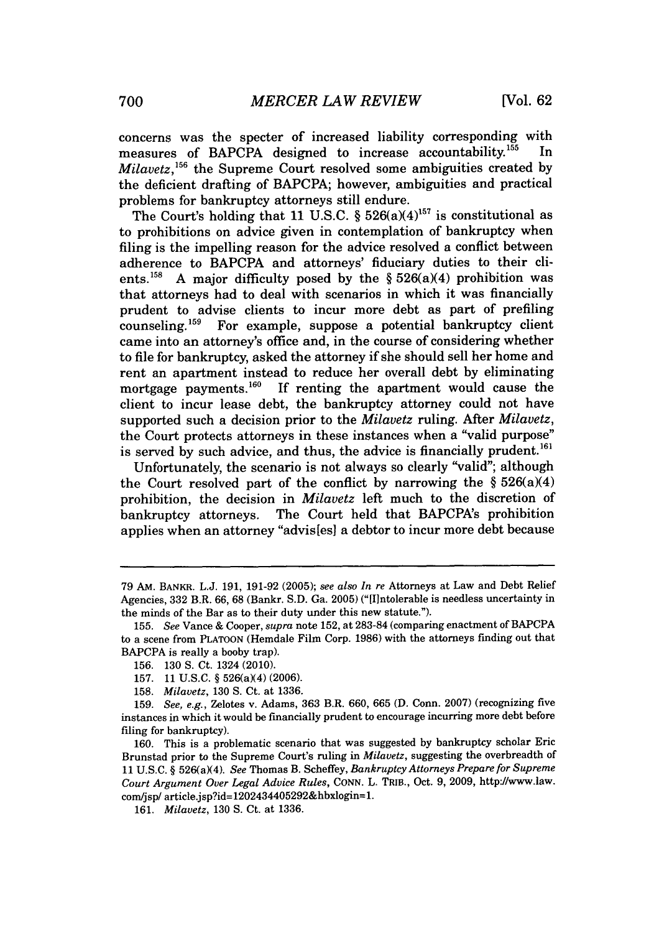concerns was the specter of increased liability corresponding with measures of BAPCPA designed to increase accountability.<sup>155</sup> In *Milavetz*,<sup>156</sup> the Supreme Court resolved some ambiguities created by the deficient drafting of BAPCPA; however, ambiguities and practical problems for bankruptcy attorneys still endure.

The Court's holding that 11 U.S.C.  $\S$  526(a)(4)<sup>157</sup> is constitutional as to prohibitions on advice given in contemplation of bankruptcy when filing is the impelling reason for the advice resolved a conflict between adherence to BAPCPA and attorneys' fiduciary duties to their clients.<sup>158</sup> A major difficulty posed by the  $\S 526(a)(4)$  prohibition was that attorneys had to deal with scenarios in which it was financially prudent to advise clients to incur more debt as part of prefiling counseling.<sup>159</sup> For example, suppose a potential bankruptcy client came into an attorney's office and, in the course of considering whether to file for bankruptcy, asked the attorney if she should sell her home and rent an apartment instead to reduce her overall debt **by** eliminating mortgage payments.<sup>160</sup> If renting the apartment would cause the client to incur lease debt, the bankruptcy attorney could not have supported such a decision prior to the *Milavetz* ruling. After *Milavetz,* the Court protects attorneys in these instances when a "valid purpose" is served by such advice, and thus, the advice is financially prudent.<sup>161</sup>

Unfortunately, the scenario is not always so clearly "valid"; although the Court resolved part of the conflict **by** narrowing the *§* 526(a)(4) prohibition, the decision in *Milavetz left* much to the discretion of bankruptcy attorneys. The Court held that BAPCPA's prohibition applies when an attorney "advis[es] a debtor to incur more debt because

**<sup>79</sup>** AM. BANKR. **L.J. 191, 191-92 (2005);** *see also In re* Attorneys at Law and Debt Relief Agencies, **332** B.R. **66, 68** (Bankr. **S.D.** Ga. **2005)** ("[Ilntolerable is needless uncertainty in the minds of the Bar as to their duty under this new statute.").

*<sup>155.</sup> See* Vance **&** Cooper, *supra* note **152,** at **283-84** (comparing enactment of BAPCPA to a scene from **PLATOON** (Hemdale Film Corp. **1986)** with the attorneys finding out that BAPCPA is really a booby trap).

**<sup>156. 130</sup> S.** Ct. 1324 (2010).

**<sup>157. 11</sup> U.S.C. §** 526(a)(4) **(2006).**

*<sup>158.</sup> Milavetz,* **130 S.** Ct. at **1336.**

*<sup>159.</sup> See, e.g.,* Zelotes v. Adams, **363** B.R. **660, 665 (D.** Conn. **2007)** (recognizing *five* instances in which it would be financially prudent to encourage incurring more debt before filing for bankruptcy).

**<sup>160.</sup>** This is a problematic scenario that was suggested **by** bankruptcy scholar Eric Brunstad prior to the Supreme Court's ruling in *Milavetz,* suggesting the overbreadth of 11 U.S.C. § 526(a)(4). *See Thomas B. Scheffey, Bankruptcy Attorneys Prepare for Supreme Court Argument Over Legal Advice Rules, CONN.* L. TRIB., Oct. **9, 2009,** http://www.law. com/jsp/ article.jsp?id=1202434405292&hbxlogin=1.

*<sup>161.</sup> Milavetz,* **130 S.** Ct. at **1336.**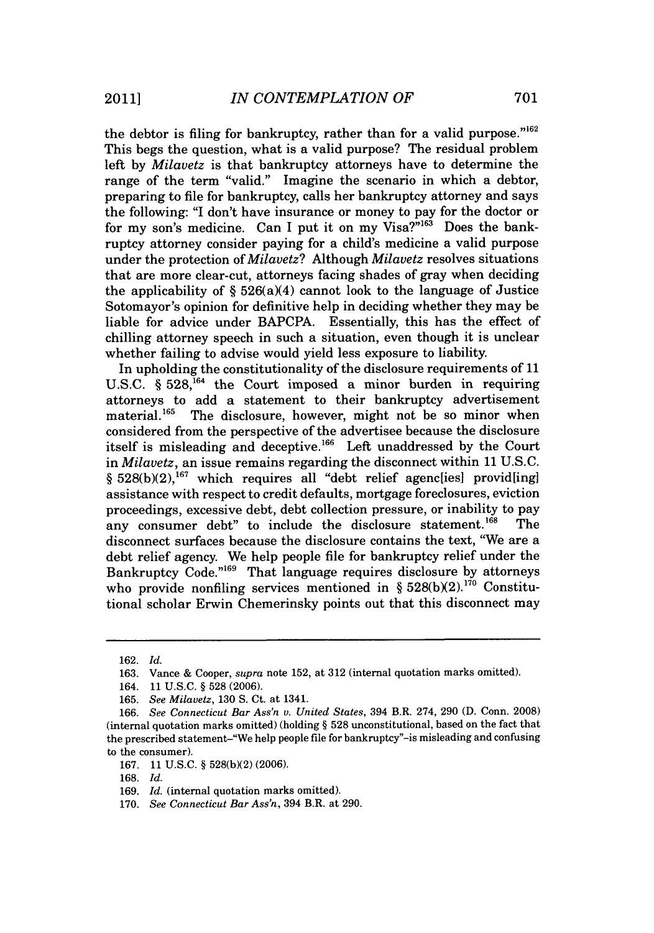the debtor is filing for bankruptcy, rather than for a valid purpose."<sup>162</sup> This begs the question, what is a valid purpose? The residual problem left **by** *Milavetz* is that bankruptcy attorneys have to determine the range of the term "valid." Imagine the scenario in which a debtor, preparing to file for bankruptcy, calls her bankruptcy attorney and says the following: **"I** don't have insurance or money to pay for the doctor or for my son's medicine. Can I put it on my Visa?"<sup>163</sup> Does the bankruptcy attorney consider paying for a child's medicine a valid purpose under the protection of *Milavetz? Although Milavetz* resolves situations that are more clear-cut, attorneys facing shades of gray when deciding the applicability of **§** 526(a)(4) cannot look to the language of Justice Sotomayor's opinion for definitive help in deciding whether they may be liable for advice under BAPCPA. Essentially, this has the effect of chilling attorney speech in such a situation, even though it is unclear whether failing to advise would yield less exposure to liability.

In upholding the constitutionality of the disclosure requirements of **11** U.S.C. § 528,<sup>164</sup> the Court imposed a minor burden in requiring attorneys to add a statement to their bankruptcy advertisement material.<sup>165</sup> The disclosure, however, might not be so minor when considered from the perspective of the advertisee because the disclosure itself is misleading and deceptive.166 Left unaddressed **by** the Court in *Milavetz,* an issue remains regarding the disconnect within **11 U.S.C.** § 528(b)(2),<sup>167</sup> which requires all "debt relief agenc[ies] provid[ing] assistance with respect to credit defaults, mortgage foreclosures, eviction proceedings, excessive debt, debt collection pressure, or inability to pay<br>any consumer debt" to include the disclosure statement.<sup>168</sup> The any consumer debt" to include the disclosure statement.<sup>168</sup> disconnect surfaces because the disclosure contains the text, "We are a debt relief agency. We help people file for bankruptcy relief under the Bankruptcy Code."<sup>169</sup> That language requires disclosure by attorneys who provide nonfiling services mentioned in § 528(b)(2).<sup>170</sup> Constitutional scholar Erwin Chemerinsky points out that this disconnect may

**<sup>162.</sup>** *Id.* **163.** Vance **&** Cooper, *supra* note **152,** at **312** (internal quotation marks omitted).

<sup>164.</sup> **11 U.S.C.** *§* **528 (2006).**

**<sup>165.</sup>** *See Milavetz,* **130 S.** Ct. at 1341.

**<sup>166.</sup>** *See Connecticut Bar Ass'n v. United States,* 394 B.R. 274, **290 (D.** Conn. **2008)** (internal quotation marks omitted) (holding *§* **528** unconstitutional, based on the fact that the prescribed statement-"We **help** people file for bankruptcy"-is misleading and confusing to the consumer).

**<sup>167. 11</sup> U.S.C.** *§* **528(b)(2) (2006).**

**<sup>168.</sup>** *Id.*

**<sup>169.</sup>** *Id.* (internal quotation marks omitted).

**<sup>170.</sup>** *See Connecticut Bar Ass'n,* 394 B.R. at **290.**